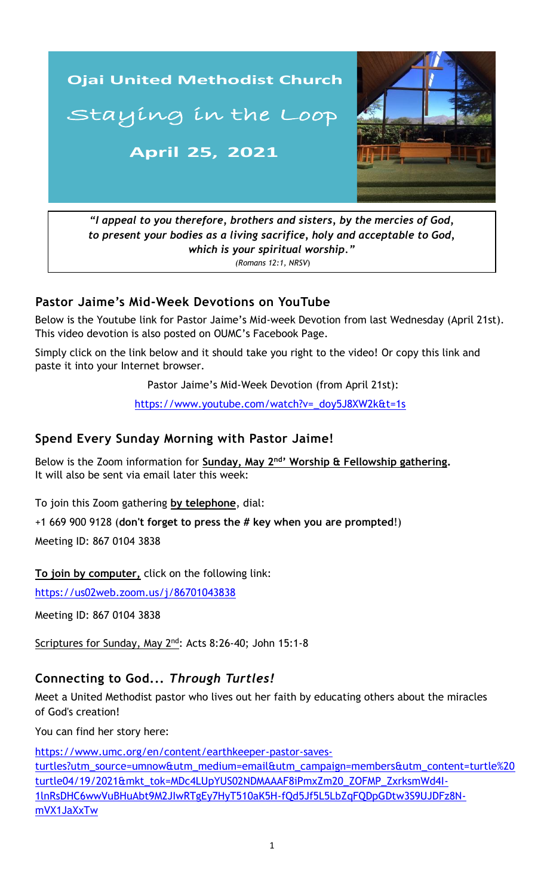

*to present your bodies as a living sacrifice, holy and acceptable to God, which is your spiritual worship." (Romans 12:1, NRSV*)

#### **Pastor Jaime's Mid-Week Devotions on YouTube**

Below is the Youtube link for Pastor Jaime's Mid-week Devotion from last Wednesday (April 21st). This video devotion is also posted on OUMC's Facebook Page.

Simply click on the link below and it should take you right to the video! Or copy this link and paste it into your Internet browser.

Pastor Jaime's Mid-Week Devotion (from April 21st):

[https://www.youtube.com/watch?v=\\_doy5J8XW2k&t=1s](https://www.youtube.com/watch?v=_doy5J8XW2k&t=1s)

#### **Spend Every Sunday Morning with Pastor Jaime!**

Below is the Zoom information for **Sunday, May 2<sup>nd</sup>' Worship & Fellowship gathering.** It will also be sent via email later this week:

To join this Zoom gathering **by telephone**, dial:

+1 669 900 9128 (**don't forget to press the # key when you are prompted**!)

Meeting ID: 867 0104 3838

**To join by computer,** click on the following link:

<https://us02web.zoom.us/j/86701043838>

Meeting ID: 867 0104 3838

Scriptures for Sunday, May 2<sup>nd</sup>: Acts 8:26-40; John 15:1-8

# **Connecting to God...** *Through Turtles!*

Meet a United Methodist pastor who lives out her faith by educating others about the miracles of God's creation!

You can find her story here:

[https://www.umc.org/en/content/earthkeeper-pastor-saves](https://www.umc.org/en/content/earthkeeper-pastor-saves-turtles?utm_source=umnow&utm_medium=email&utm_campaign=members&utm_content=turtle%20turtle04/19/2021&mkt_tok=MDc4LUpYUS02NDMAAAF8iPmxZm20_ZOFMP_ZxrksmWd4I-1lnRsDHC6wwVuBHuAbt9M2JIwRTgEy7HyT510aK5H-fQd5Jf5L5LbZqFQDpGDtw3S9UJDFz8N-mVX1JaXxTw)[turtles?utm\\_source=umnow&utm\\_medium=email&utm\\_campaign=members&utm\\_content=turtle%20](https://www.umc.org/en/content/earthkeeper-pastor-saves-turtles?utm_source=umnow&utm_medium=email&utm_campaign=members&utm_content=turtle%20turtle04/19/2021&mkt_tok=MDc4LUpYUS02NDMAAAF8iPmxZm20_ZOFMP_ZxrksmWd4I-1lnRsDHC6wwVuBHuAbt9M2JIwRTgEy7HyT510aK5H-fQd5Jf5L5LbZqFQDpGDtw3S9UJDFz8N-mVX1JaXxTw) [turtle04/19/2021&mkt\\_tok=MDc4LUpYUS02NDMAAAF8iPmxZm20\\_ZOFMP\\_ZxrksmWd4I-](https://www.umc.org/en/content/earthkeeper-pastor-saves-turtles?utm_source=umnow&utm_medium=email&utm_campaign=members&utm_content=turtle%20turtle04/19/2021&mkt_tok=MDc4LUpYUS02NDMAAAF8iPmxZm20_ZOFMP_ZxrksmWd4I-1lnRsDHC6wwVuBHuAbt9M2JIwRTgEy7HyT510aK5H-fQd5Jf5L5LbZqFQDpGDtw3S9UJDFz8N-mVX1JaXxTw)[1lnRsDHC6wwVuBHuAbt9M2JIwRTgEy7HyT510aK5H-fQd5Jf5L5LbZqFQDpGDtw3S9UJDFz8N](https://www.umc.org/en/content/earthkeeper-pastor-saves-turtles?utm_source=umnow&utm_medium=email&utm_campaign=members&utm_content=turtle%20turtle04/19/2021&mkt_tok=MDc4LUpYUS02NDMAAAF8iPmxZm20_ZOFMP_ZxrksmWd4I-1lnRsDHC6wwVuBHuAbt9M2JIwRTgEy7HyT510aK5H-fQd5Jf5L5LbZqFQDpGDtw3S9UJDFz8N-mVX1JaXxTw)[mVX1JaXxTw](https://www.umc.org/en/content/earthkeeper-pastor-saves-turtles?utm_source=umnow&utm_medium=email&utm_campaign=members&utm_content=turtle%20turtle04/19/2021&mkt_tok=MDc4LUpYUS02NDMAAAF8iPmxZm20_ZOFMP_ZxrksmWd4I-1lnRsDHC6wwVuBHuAbt9M2JIwRTgEy7HyT510aK5H-fQd5Jf5L5LbZqFQDpGDtw3S9UJDFz8N-mVX1JaXxTw)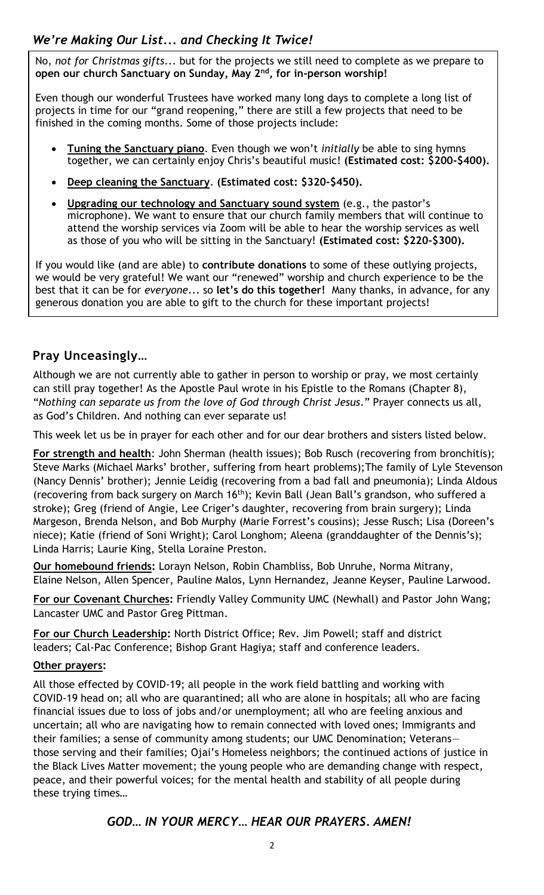No, *not for Christmas gifts*... but for the projects we still need to complete as we prepare to **open our church Sanctuary on Sunday, May 2nd, for in-person worship!**

Even though our wonderful Trustees have worked many long days to complete a long list of projects in time for our "grand reopening," there are still a few projects that need to be finished in the coming months. Some of those projects include:

- **Tuning the Sanctuary piano**. Even though we won't *initially* be able to sing hymns together, we can certainly enjoy Chris's beautiful music! **(Estimated cost: \$200-\$400).**
- **Deep cleaning the Sanctuary**. **(Estimated cost: \$320-\$450).**
- **Upgrading our technology and Sanctuary sound system** (e.g., the pastor's microphone). We want to ensure that our church family members that will continue to attend the worship services via Zoom will be able to hear the worship services as well as those of you who will be sitting in the Sanctuary! **(Estimated cost: \$220-\$300).**

If you would like (and are able) to **contribute donations** to some of these outlying projects, we would be very grateful! We want our "renewed" worship and church experience to be the best that it can be for *everyone*... so **let's do this together!** Many thanks, in advance, for any generous donation you are able to gift to the church for these important projects!

## **Pray Unceasingly…**

Although we are not currently able to gather in person to worship or pray, we most certainly can still pray together! As the Apostle Paul wrote in his Epistle to the Romans (Chapter 8), "*Nothing can separate us from the love of God through Christ Jesus*." Prayer connects us all, as God's Children. And nothing can ever separate us!

This week let us be in prayer for each other and for our dear brothers and sisters listed below.

**For strength and health**: John Sherman (health issues); Bob Rusch (recovering from bronchitis); Steve Marks (Michael Marks' brother, suffering from heart problems);The family of Lyle Stevenson (Nancy Dennis' brother); Jennie Leidig (recovering from a bad fall and pneumonia); Linda Aldous (recovering from back surgery on March 16<sup>th</sup>); Kevin Ball (Jean Ball's grandson, who suffered a stroke); Greg (friend of Angie, Lee Criger's daughter, recovering from brain surgery); Linda Margeson, Brenda Nelson, and Bob Murphy (Marie Forrest's cousins); Jesse Rusch; Lisa (Doreen's niece); Katie (friend of Soni Wright); Carol Longhom; Aleena (granddaughter of the Dennis's); Linda Harris; Laurie King, Stella Loraine Preston.

**Our homebound friends:** Lorayn Nelson, Robin Chambliss, Bob Unruhe, Norma Mitrany, Elaine Nelson, Allen Spencer, Pauline Malos, Lynn Hernandez, Jeanne Keyser, Pauline Larwood.

**For our Covenant Churches:** Friendly Valley Community UMC (Newhall) and Pastor John Wang; Lancaster UMC and Pastor Greg Pittman.

**For our Church Leadership:** North District Office; Rev. Jim Powell; staff and district leaders; Cal-Pac Conference; Bishop Grant Hagiya; staff and conference leaders.

#### **Other prayers:**

uncertain; all who are navigating how to remain connected with loved ones; Immigrants and All those effected by COVID-19; all people in the work field battling and working with COVID-19 head on; all who are quarantined; all who are alone in hospitals; all who are facing financial issues due to loss of jobs and/or unemployment; all who are feeling anxious and their families; a sense of community among students; our UMC Denomination; Veterans those serving and their families; Ojai's Homeless neighbors; the continued actions of justice in the Black Lives Matter movement; the young people who are demanding change with respect, peace, and their powerful voices; for the mental health and stability of all people during these trying times…

## *GOD… IN YOUR MERCY… HEAR OUR PRAYERS. AMEN!*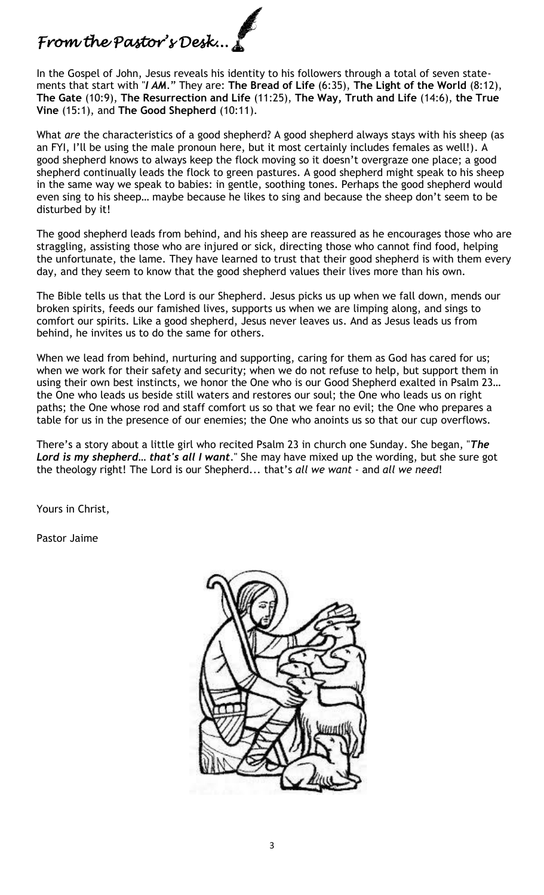# *From the Pastor's Desk...*

In the Gospel of John, Jesus reveals his identity to his followers through a total of seven statements that start with "*I AM*." They are: **The Bread of Life** (6:35), **The Light of the World** (8:12), **The Gate** (10:9), **The Resurrection and Life** (11:25), **The Way, Truth and Life** (14:6), **the True Vine** (15:1), and **The Good Shepherd** (10:11).

What *are* the characteristics of a good shepherd? A good shepherd always stays with his sheep (as an FYI, I'll be using the male pronoun here, but it most certainly includes females as well!). A good shepherd knows to always keep the flock moving so it doesn't overgraze one place; a good shepherd continually leads the flock to green pastures. A good shepherd might speak to his sheep in the same way we speak to babies: in gentle, soothing tones. Perhaps the good shepherd would even sing to his sheep… maybe because he likes to sing and because the sheep don't seem to be disturbed by it!

The good shepherd leads from behind, and his sheep are reassured as he encourages those who are straggling, assisting those who are injured or sick, directing those who cannot find food, helping the unfortunate, the lame. They have learned to trust that their good shepherd is with them every day, and they seem to know that the good shepherd values their lives more than his own.

The Bible tells us that the Lord is our Shepherd. Jesus picks us up when we fall down, mends our broken spirits, feeds our famished lives, supports us when we are limping along, and sings to comfort our spirits. Like a good shepherd, Jesus never leaves us. And as Jesus leads us from behind, he invites us to do the same for others.

When we lead from behind, nurturing and supporting, caring for them as God has cared for us; when we work for their safety and security; when we do not refuse to help, but support them in using their own best instincts, we honor the One who is our Good Shepherd exalted in Psalm 23… the One who leads us beside still waters and restores our soul; the One who leads us on right paths; the One whose rod and staff comfort us so that we fear no evil; the One who prepares a table for us in the presence of our enemies; the One who anoints us so that our cup overflows.

There's a story about a little girl who recited Psalm 23 in church one Sunday. She began, "*The Lord is my shepherd… that's all I want*." She may have mixed up the wording, but she sure got the theology right! The Lord is our Shepherd... that's *all we want* - and *all we need*!

Yours in Christ,

Pastor Jaime